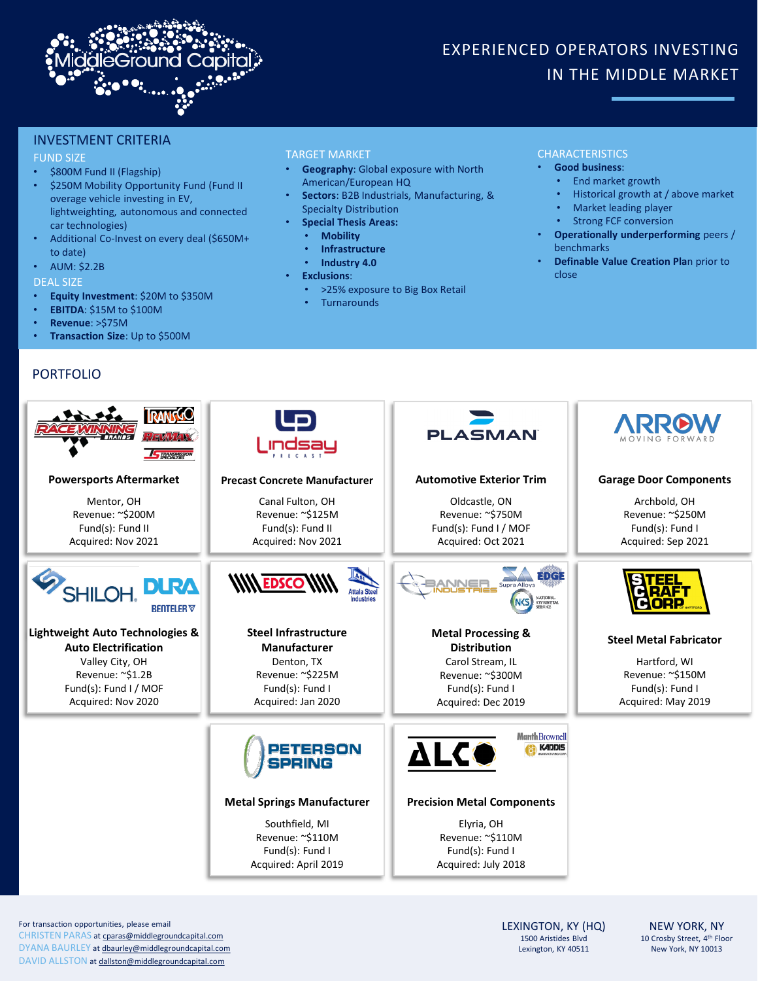

# EXPERIENCED OPERATORS INVESTING IN THE MIDDLE MARKET

## INVESTMENT CRITERIA

#### FUND SIZE

- \$800M Fund II (Flagship)
- \$250M Mobility Opportunity Fund (Fund II overage vehicle investing in EV, lightweighting, autonomous and connected car technologies)
- Additional Co-Invest on every deal (\$650M+ to date)
- AUM: \$2.2B
- DEAL SIZE
- **Equity Investment**: \$20M to \$350M
- **EBITDA**: \$15M to \$100M
- **Revenue**: >\$75M
- **Transaction Size**: Up to \$500M

# PORTFOLIO

## TARGET MARKET

- **Geography**: Global exposure with North American/European HQ
- **Sectors**: B2B Industrials, Manufacturing, &
- Specialty Distribution • **Special Thesis Areas:**
- **Mobility**
	- **Infrastructure**
	- **Industry 4.0**
- 
- **Exclusions**:
	- >25% exposure to Big Box Retail
	- **Turnarounds**

#### CHARACTERISTICS

#### • **Good business**:

- End market growth
- Historical growth at / above market
- Market leading player
- Strong FCF conversion
- **Operationally underperforming** peers / benchmarks
- **Definable Value Creation Pla**n prior to close